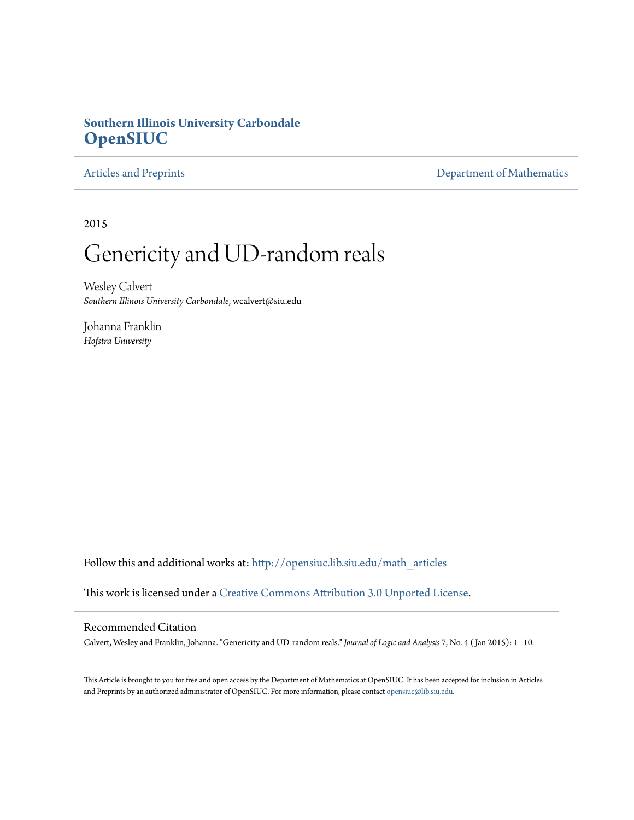# **Southern Illinois University Carbondale [OpenSIUC](http://opensiuc.lib.siu.edu?utm_source=opensiuc.lib.siu.edu%2Fmath_articles%2F126&utm_medium=PDF&utm_campaign=PDFCoverPages)**

[Articles and Preprints](http://opensiuc.lib.siu.edu/math_articles?utm_source=opensiuc.lib.siu.edu%2Fmath_articles%2F126&utm_medium=PDF&utm_campaign=PDFCoverPages) **[Department of Mathematics](http://opensiuc.lib.siu.edu/math?utm_source=opensiuc.lib.siu.edu%2Fmath_articles%2F126&utm_medium=PDF&utm_campaign=PDFCoverPages)** 

2015

# Genericity and UD-random reals

Wesley Calvert *Southern Illinois University Carbondale*, wcalvert@siu.edu

Johanna Franklin *Hofstra University*

Follow this and additional works at: [http://opensiuc.lib.siu.edu/math\\_articles](http://opensiuc.lib.siu.edu/math_articles?utm_source=opensiuc.lib.siu.edu%2Fmath_articles%2F126&utm_medium=PDF&utm_campaign=PDFCoverPages)

This work is licensed under a [Creative Commons Attribution 3.0 Unported License](http://creativecommons.org/licenses/by/3.0/).

### Recommended Citation

Calvert, Wesley and Franklin, Johanna. "Genericity and UD-random reals." *Journal of Logic and Analysis* 7, No. 4 ( Jan 2015): 1--10.

This Article is brought to you for free and open access by the Department of Mathematics at OpenSIUC. It has been accepted for inclusion in Articles and Preprints by an authorized administrator of OpenSIUC. For more information, please contact [opensiuc@lib.siu.edu](mailto:opensiuc@lib.siu.edu).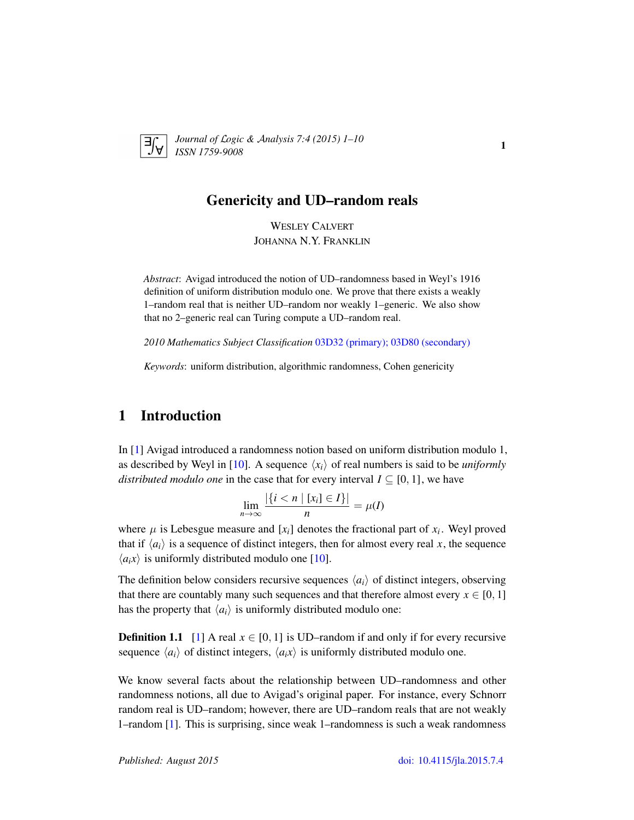

*Journal of* L*ogic &* A*nalysis 7:4 (2015) 1–10 ISSN 1759-9008* 1

## Genericity and UD–random reals

WESLEY CALVERT JOHANNA N.Y. FRANKLIN

*Abstract*: Avigad introduced the notion of UD–randomness based in Weyl's 1916 definition of uniform distribution modulo one. We prove that there exists a weakly 1–random real that is neither UD–random nor weakly 1–generic. We also show that no 2–generic real can Turing compute a UD–random real.

*2010 Mathematics Subject Classification* [03D32 \(primary\); 03D80 \(secondary\)](http://www.ams.org/mathscinet/search/mscdoc.html?code=03D32,(03D80))

*Keywords*: uniform distribution, algorithmic randomness, Cohen genericity

# 1 Introduction

In [\[1\]](#page-9-0) Avigad introduced a randomness notion based on uniform distribution modulo 1, as described by Weyl in [\[10\]](#page-10-0). A sequence  $\langle x_i \rangle$  of real numbers is said to be *uniformly distributed modulo one* in the case that for every interval  $I \subseteq [0, 1]$ , we have

$$
\lim_{n\to\infty}\frac{|\{i < n \mid [x_i] \in I\}|}{n} = \mu(I)
$$

where  $\mu$  is Lebesgue measure and  $[x_i]$  denotes the fractional part of  $x_i$ . Weyl proved that if  $\langle a_i \rangle$  is a sequence of distinct integers, then for almost every real *x*, the sequence  $\langle a_i x \rangle$  is uniformly distributed modulo one [\[10\]](#page-10-0).

The definition below considers recursive sequences  $\langle a_i \rangle$  of distinct integers, observing that there are countably many such sequences and that therefore almost every  $x \in [0, 1]$ has the property that  $\langle a_i \rangle$  is uniformly distributed modulo one:

**Definition 1.1** [\[1\]](#page-9-0) A real  $x \in [0, 1]$  is UD–random if and only if for every recursive sequence  $\langle a_i \rangle$  of distinct integers,  $\langle a_i x \rangle$  is uniformly distributed modulo one.

We know several facts about the relationship between UD–randomness and other randomness notions, all due to Avigad's original paper. For instance, every Schnorr random real is UD–random; however, there are UD–random reals that are not weakly 1–random [\[1\]](#page-9-0). This is surprising, since weak 1–randomness is such a weak randomness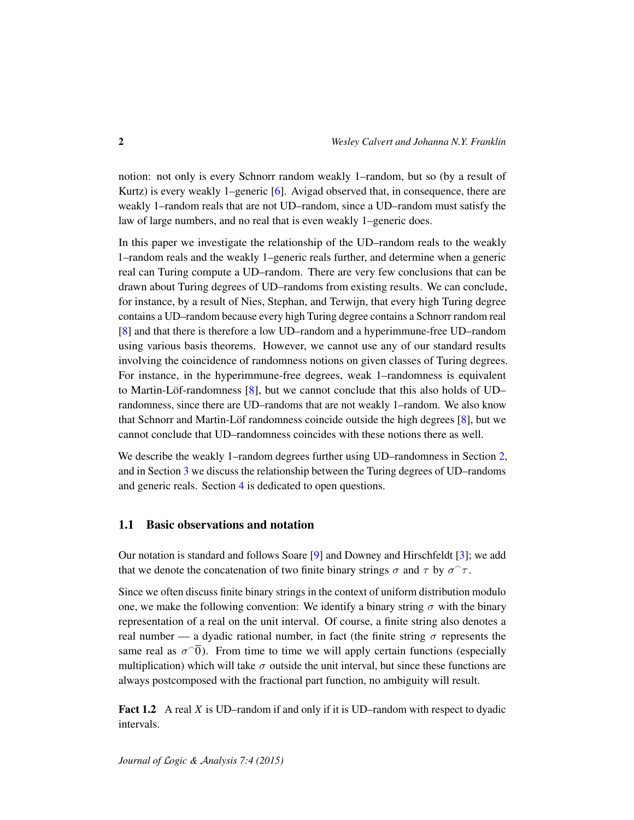notion: not only is every Schnorr random weakly 1–random, but so (by a result of Kurtz) is every weakly 1–generic [\[6\]](#page-10-1). Avigad observed that, in consequence, there are weakly 1–random reals that are not UD–random, since a UD–random must satisfy the law of large numbers, and no real that is even weakly 1–generic does.

In this paper we investigate the relationship of the UD–random reals to the weakly 1–random reals and the weakly 1–generic reals further, and determine when a generic real can Turing compute a UD–random. There are very few conclusions that can be drawn about Turing degrees of UD–randoms from existing results. We can conclude, for instance, by a result of Nies, Stephan, and Terwijn, that every high Turing degree contains a UD–random because every high Turing degree contains a Schnorr random real [\[8\]](#page-10-2) and that there is therefore a low UD–random and a hyperimmune-free UD–random using various basis theorems. However, we cannot use any of our standard results involving the coincidence of randomness notions on given classes of Turing degrees. For instance, in the hyperimmune-free degrees, weak 1–randomness is equivalent to Martin-Löf-randomness  $[8]$  $[8]$ , but we cannot conclude that this also holds of UD– randomness, since there are UD–randoms that are not weakly 1–random. We also know that Schnorr and Martin-Löf randomness coincide outside the high degrees  $[8]$  $[8]$ , but we cannot conclude that UD–randomness coincides with these notions there as well.

We describe the weakly 1–random degrees further using UD–randomness in Section [2,](#page-3-0) and in Section [3](#page-7-0) we discuss the relationship between the Turing degrees of UD–randoms and generic reals. Section [4](#page-9-1) is dedicated to open questions.

#### 1.1 Basic observations and notation

Our notation is standard and follows Soare [\[9\]](#page-10-3) and Downey and Hirschfeldt [\[3\]](#page-10-4); we add that we denote the concatenation of two finite binary strings  $\sigma$  and  $\tau$  by  $\sigma^{\sim}\tau$ .

Since we often discuss finite binary strings in the context of uniform distribution modulo one, we make the following convention: We identify a binary string  $\sigma$  with the binary representation of a real on the unit interval. Of course, a finite string also denotes a real number — a dyadic rational number, in fact (the finite string  $\sigma$  represents the same real as  $\sigma^{\hat{O}}$ ). From time to time we will apply certain functions (especially multiplication) which will take  $\sigma$  outside the unit interval, but since these functions are always postcomposed with the fractional part function, no ambiguity will result.

<span id="page-2-0"></span>Fact 1.2 A real *X* is UD–random if and only if it is UD–random with respect to dyadic intervals.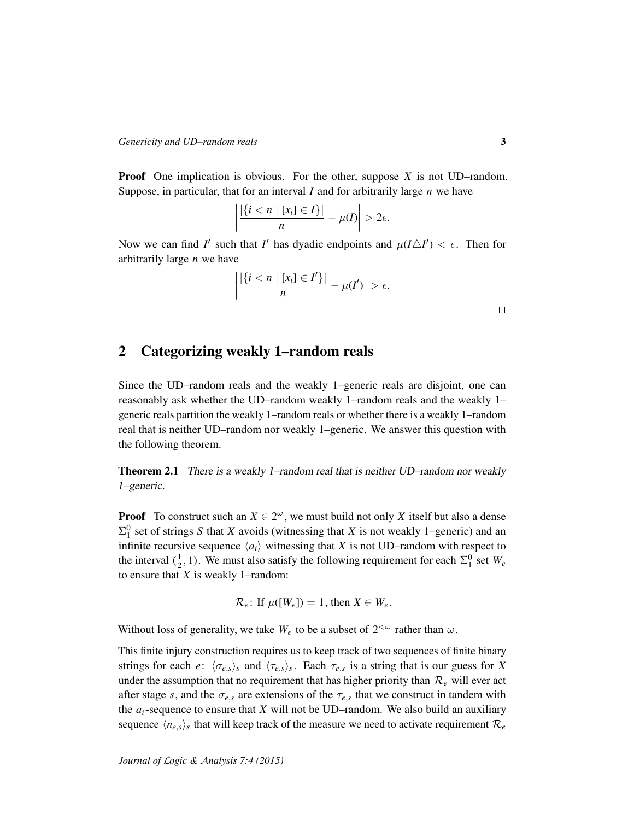Proof One implication is obvious. For the other, suppose *X* is not UD–random. Suppose, in particular, that for an interval *I* and for arbitrarily large *n* we have

$$
\left|\frac{|\{i < n \mid [x_i] \in I\}|}{n} - \mu(I)\right| > 2\epsilon.
$$

Now we can find *I'* such that *I'* has dyadic endpoints and  $\mu(I\Delta I') < \epsilon$ . Then for arbitrarily large *n* we have

$$
\left|\frac{|\{i < n \mid [x_i] \in I'\}|}{n} - \mu(I')\right| > \epsilon.
$$

# <span id="page-3-0"></span>2 Categorizing weakly 1–random reals

Since the UD–random reals and the weakly 1–generic reals are disjoint, one can reasonably ask whether the UD–random weakly 1–random reals and the weakly 1– generic reals partition the weakly 1–random reals or whether there is a weakly 1–random real that is neither UD–random nor weakly 1–generic. We answer this question with the following theorem.

Theorem 2.1 There is a weakly 1-random real that is neither UD-random nor weakly 1–generic.

**Proof** To construct such an  $X \in 2^{\omega}$ , we must build not only X itself but also a dense  $\Sigma_1^0$  set of strings *S* that *X* avoids (witnessing that *X* is not weakly 1–generic) and an infinite recursive sequence  $\langle a_i \rangle$  witnessing that *X* is not UD–random with respect to the interval  $(\frac{1}{2}, 1)$ . We must also satisfy the following requirement for each  $\Sigma_1^0$  set  $W_e$ to ensure that *X* is weakly 1–random:

 $\mathcal{R}_e$ : If  $\mu([W_e]) = 1$ , then  $X \in W_e$ .

Without loss of generality, we take  $W_e$  to be a subset of  $2^{<\omega}$  rather than  $\omega$ .

This finite injury construction requires us to keep track of two sequences of finite binary strings for each *e*:  $\langle \sigma_{e,s} \rangle_s$  and  $\langle \tau_{e,s} \rangle_s$ . Each  $\tau_{e,s}$  is a string that is our guess for *X* under the assumption that no requirement that has higher priority than  $\mathcal{R}_e$  will ever act after stage *s*, and the  $\sigma_{e,s}$  are extensions of the  $\tau_{e,s}$  that we construct in tandem with the  $a_i$ -sequence to ensure that  $X$  will not be UD–random. We also build an auxiliary sequence  $\langle n_{e,s}\rangle_s$  that will keep track of the measure we need to activate requirement  $\mathcal{R}_e$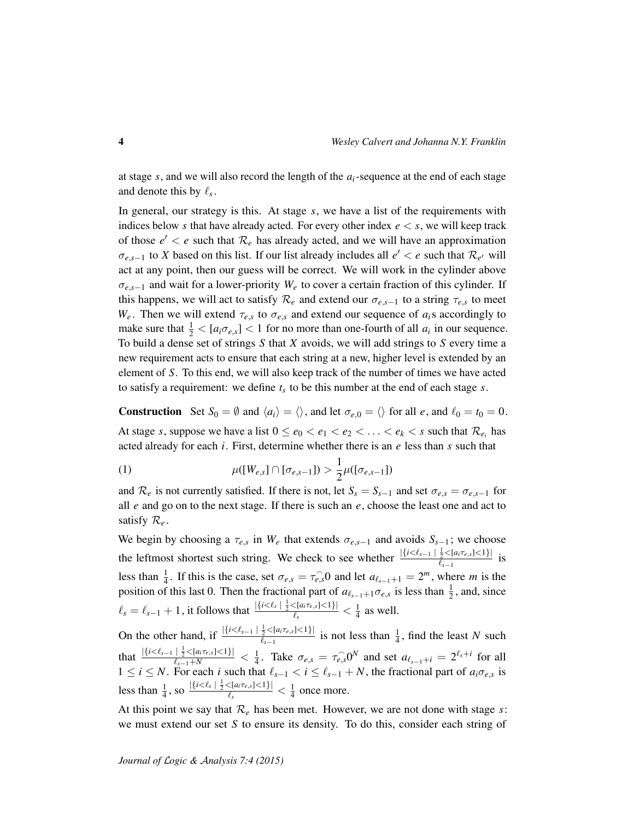at stage *s*, and we will also record the length of the *ai*-sequence at the end of each stage and denote this by  $\ell_s$ .

In general, our strategy is this. At stage *s*, we have a list of the requirements with indices below *s* that have already acted. For every other index  $e < s$ , we will keep track of those  $e' < e$  such that  $\mathcal{R}_e$  has already acted, and we will have an approximation  $\sigma_{e,s-1}$  to *X* based on this list. If our list already includes all  $e' < e$  such that  $\mathcal{R}_{e'}$  will act at any point, then our guess will be correct. We will work in the cylinder above σ*e*,*s*−<sup>1</sup> and wait for a lower-priority *W<sup>e</sup>* to cover a certain fraction of this cylinder. If this happens, we will act to satisfy  $\mathcal{R}_e$  and extend our  $\sigma_{e,s-1}$  to a string  $\tau_{e,s}$  to meet *W<sub>e</sub>*. Then we will extend  $\tau_{e,s}$  to  $\sigma_{e,s}$  and extend our sequence of  $a_i$ s accordingly to make sure that  $\frac{1}{2} < [a_i \sigma_{e,s}] < 1$  for no more than one-fourth of all  $a_i$  in our sequence. To build a dense set of strings *S* that *X* avoids, we will add strings to *S* every time a new requirement acts to ensure that each string at a new, higher level is extended by an element of *S*. To this end, we will also keep track of the number of times we have acted to satisfy a requirement: we define *t<sup>s</sup>* to be this number at the end of each stage *s*.

**Construction** Set  $S_0 = \emptyset$  and  $\langle a_i \rangle = \langle \rangle$ , and let  $\sigma_{e,0} = \langle \rangle$  for all *e*, and  $\ell_0 = t_0 = 0$ . At stage *s*, suppose we have a list  $0 \le e_0 < e_1 < e_2 < \ldots < e_k < s$  such that  $\mathcal{R}_{e_i}$  has acted already for each *i*. First, determine whether there is an *e* less than *s* such that

<span id="page-4-0"></span>(1) 
$$
\mu([W_{e,s}] \cap [\sigma_{e,s-1}]) > \frac{1}{2} \mu([\sigma_{e,s-1}])
$$

and  $\mathcal{R}_e$  is not currently satisfied. If there is not, let  $S_s = S_{s-1}$  and set  $\sigma_{e,s} = \sigma_{e,s-1}$  for all *e* and go on to the next stage. If there is such an *e*, choose the least one and act to satisfy R*<sup>e</sup>* .

We begin by choosing a  $\tau_{e,s}$  in  $W_e$  that extends  $\sigma_{e,s-1}$  and avoids  $S_{s-1}$ ; we choose the leftmost shortest such string. We check to see whether  $\frac{|\{i \le \ell_{s-1} | \frac{1}{2} \le [a_i \tau_{e,s}] \le 1\}|}{\ell_{s-1}}$  $\frac{\frac{7}{2} \times [a_i \cdot e_s \times 1] \times 1}{\ell_{s-1}}$  is less than  $\frac{1}{4}$ . If this is the case, set  $\sigma_{e,s} = \tau_{e,s}$  and let  $a_{\ell_{s-1}+1} = 2^m$ , where *m* is the position of this last 0. Then the fractional part of  $a_{\ell_{s-1}+1}\sigma_{e,s}$  is less than  $\frac{1}{2}$ , and, since  $\ell_s = \ell_{s-1} + 1$ , it follows that  $\frac{|\{i < \ell_s \mid \frac{1}{2} < [a_i \tau_{e,s}] < 1\}|}{\ell_s}$  $\frac{\zeta[a_i\tau_{e,s}]\leq 1}{\ell_s} < \frac{1}{4}$  $\frac{1}{4}$  as well.

On the other hand, if  $\frac{|\{i < \ell_{s-1} | \frac{1}{2} < [a_i \tau_{e,s}] < 1\}|}{\ell}$  $\frac{\frac{1}{2} \leq |a_i \tau_{e,s}| \leq 1}{\ell_{s-1}}$  is not less than  $\frac{1}{4}$ , find the least *N* such that  $\frac{|\{i < \ell_{s-1} | \frac{1}{2} < [a_i \tau_{e,s}] < 1\}|}{\ell_{s-1} + N} < \frac{1}{4}$  $\frac{1}{4}$ . Take  $\sigma_{e,s} = \tau_{e,s}^{\frown} 0^N$  and set  $a_{\ell_{s-1}+i} = 2^{\ell_s+i}$  for all 1 ≤ *i* ≤ *N*. For each *i* such that  $\ell_{s-1} < i \leq \ell_{s-1} + N$ , the fractional part of  $a_i \sigma_{e,s}$  is less than  $\frac{1}{4}$ , so  $\frac{|\{i < \ell_s | \frac{1}{2} < [a_i \tau_{e,s}] < 1\}|}{\ell_s}$  $\frac{\zeta[a_i\tau_{e,s}]\leq 1}{\ell_s} < \frac{1}{4}$  $\frac{1}{4}$  once more.

At this point we say that R*<sup>e</sup>* has been met. However, we are not done with stage *s*: we must extend our set *S* to ensure its density. To do this, consider each string of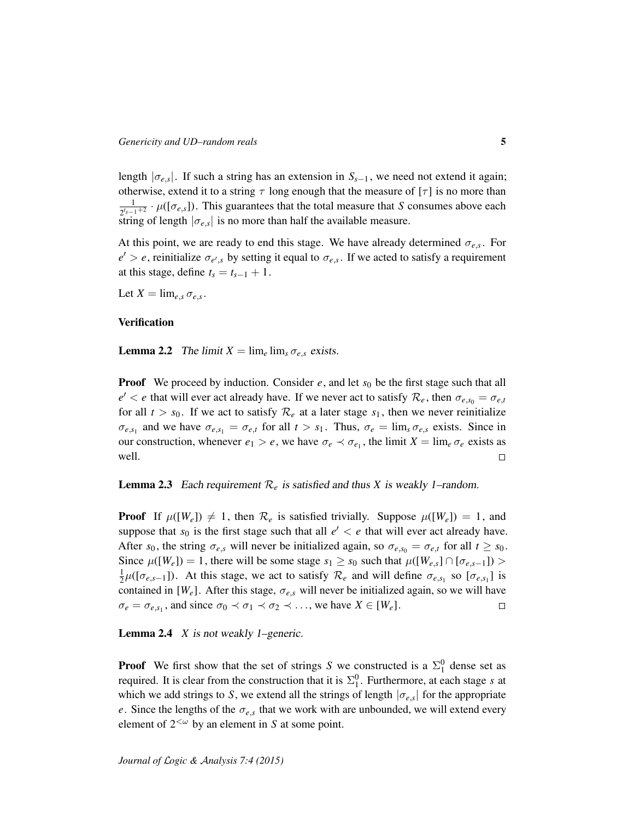length  $|\sigma_{e,s}|$ . If such a string has an extension in  $S_{s-1}$ , we need not extend it again; otherwise, extend it to a string  $\tau$  long enough that the measure of [ $\tau$ ] is no more than 1  $\frac{1}{2^{t_{s-1}+2}} \cdot \mu([\sigma_{e,s}])$ . This guarantees that the total measure that *S* consumes above each string of length  $|\sigma_{e,s}|$  is no more than half the available measure.

At this point, we are ready to end this stage. We have already determined  $\sigma_{e,s}$ . For  $e' > e$ , reinitialize  $\sigma_{e',s}$  by setting it equal to  $\sigma_{e,s}$ . If we acted to satisfy a requirement at this stage, define  $t_s = t_{s-1} + 1$ .

Let  $X = \lim_{e,s} \sigma_{e,s}$ .

#### <span id="page-5-0"></span>**Verification**

**Lemma 2.2** The limit  $X = \lim_{e \to e} \lim_{s \to e} \sigma_{e,s}$  exists.

**Proof** We proceed by induction. Consider  $e$ , and let  $s_0$  be the first stage such that all  $e' < e$  that will ever act already have. If we never act to satisfy  $\mathcal{R}_e$ , then  $\sigma_{e,s_0} = \sigma_{e,t}$ for all  $t > s_0$ . If we act to satisfy  $\mathcal{R}_e$  at a later stage  $s_1$ , then we never reinitialize  $\sigma_{e,s_1}$  and we have  $\sigma_{e,s_1} = \sigma_{e,t}$  for all  $t > s_1$ . Thus,  $\sigma_e = \lim_s \sigma_{e,s}$  exists. Since in our construction, whenever  $e_1 > e$ , we have  $\sigma_e \prec \sigma_{e_1}$ , the limit  $X = \lim_{e \to e} \sigma_e$  exists as well.  $\Box$ 

#### **Lemma 2.3** Each requirement  $\mathcal{R}_e$  is satisfied and thus *X* is weakly 1–random.

**Proof** If  $\mu([W_e]) \neq 1$ , then  $\mathcal{R}_e$  is satisfied trivially. Suppose  $\mu([W_e]) = 1$ , and suppose that  $s_0$  is the first stage such that all  $e' < e$  that will ever act already have. After  $s_0$ , the string  $\sigma_{e,s}$  will never be initialized again, so  $\sigma_{e,s_0} = \sigma_{e,t}$  for all  $t \geq s_0$ . Since  $\mu([W_e]) = 1$ , there will be some stage  $s_1 \geq s_0$  such that  $\mu([W_{e,s}] \cap [\sigma_{e,s-1}]) >$ 1  $\frac{1}{2}\mu([\sigma_{e,s-1}])$ . At this stage, we act to satisfy  $\mathcal{R}_e$  and will define  $\sigma_{e,s_1}$  so  $[\sigma_{e,s_1}]$  is contained in  $[W_e]$ . After this stage,  $\sigma_{e,s}$  will never be initialized again, so we will have  $\sigma_e = \sigma_{e,s_1}$ , and since  $\sigma_0 \prec \sigma_1 \prec \sigma_2 \prec \ldots$ , we have  $X \in [W_e]$ .  $\Box$ 

Lemma 2.4 *X* is not weakly 1–generic.

**Proof** We first show that the set of strings *S* we constructed is a  $\Sigma_1^0$  dense set as required. It is clear from the construction that it is  $\Sigma_1^0$ . Furthermore, at each stage *s* at which we add strings to *S*, we extend all the strings of length  $|\sigma_{e,s}|$  for the appropriate *e*. Since the lengths of the  $\sigma_{e,s}$  that we work with are unbounded, we will extend every element of  $2<sup>{\omega}</sup>$  by an element in *S* at some point.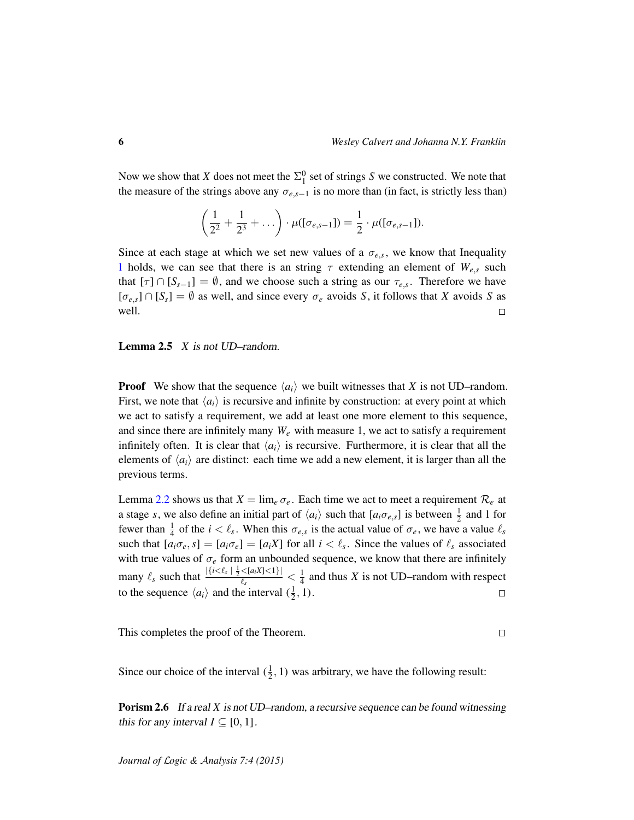Now we show that *X* does not meet the  $\Sigma_1^0$  set of strings *S* we constructed. We note that the measure of the strings above any  $\sigma_{e,s-1}$  is no more than (in fact, is strictly less than)

$$
\left(\frac{1}{2^2} + \frac{1}{2^3} + \dots\right) \cdot \mu([\sigma_{e,s-1}]) = \frac{1}{2} \cdot \mu([\sigma_{e,s-1}]).
$$

Since at each stage at which we set new values of a  $\sigma_{e,s}$ , we know that Inequality [1](#page-4-0) holds, we can see that there is an string  $\tau$  extending an element of  $W_{e,s}$  such that  $[\tau] \cap [S_{s-1}] = \emptyset$ , and we choose such a string as our  $\tau_{e,s}$ . Therefore we have  $[\sigma_{e,s}] \cap [S_s] = \emptyset$  as well, and since every  $\sigma_e$  avoids *S*, it follows that *X* avoids *S* as well.  $\Box$ 

Lemma 2.5 *X* is not UD–random.

**Proof** We show that the sequence  $\langle a_i \rangle$  we built witnesses that *X* is not UD–random. First, we note that  $\langle a_i \rangle$  is recursive and infinite by construction: at every point at which we act to satisfy a requirement, we add at least one more element to this sequence, and since there are infinitely many  $W_e$  with measure 1, we act to satisfy a requirement infinitely often. It is clear that  $\langle a_i \rangle$  is recursive. Furthermore, it is clear that all the elements of  $\langle a_i \rangle$  are distinct: each time we add a new element, it is larger than all the previous terms.

Lemma [2.2](#page-5-0) shows us that  $X = \lim_{e \to e} \sigma_e$ . Each time we act to meet a requirement  $\mathcal{R}_e$  at a stage *s*, we also define an initial part of  $\langle a_i \rangle$  such that  $[a_i \sigma_{e,s}]$  is between  $\frac{1}{2}$  and 1 for fewer than  $\frac{1}{4}$  of the  $i < \ell_s$ . When this  $\sigma_{e,s}$  is the actual value of  $\sigma_e$ , we have a value  $\ell_s$ such that  $[a_i \sigma_e, s] = [a_i \sigma_e] = [a_i X]$  for all  $i < l_s$ . Since the values of  $l_s$  associated with true values of  $\sigma_e$  form an unbounded sequence, we know that there are infinitely many  $\ell_s$  such that  $\frac{|\{i < \ell_s | \frac{1}{2} < [a_i X] < 1\}|}{\ell_s}$  $\frac{\langle [a_i X] \langle 1 \rangle]}{\ell_s} < \frac{1}{4}$  $\frac{1}{4}$  and thus *X* is not UD–random with respect to the sequence  $\langle a_i \rangle$  and the interval  $(\frac{1}{2}, 1)$ .  $\Box$ 

This completes the proof of the Theorem.

#### $\Box$

Since our choice of the interval  $(\frac{1}{2}, 1)$  was arbitrary, we have the following result:

**Porism 2.6** If a real X is not UD–random, a recursive sequence can be found witnessing this for any interval  $I \subseteq [0, 1]$ .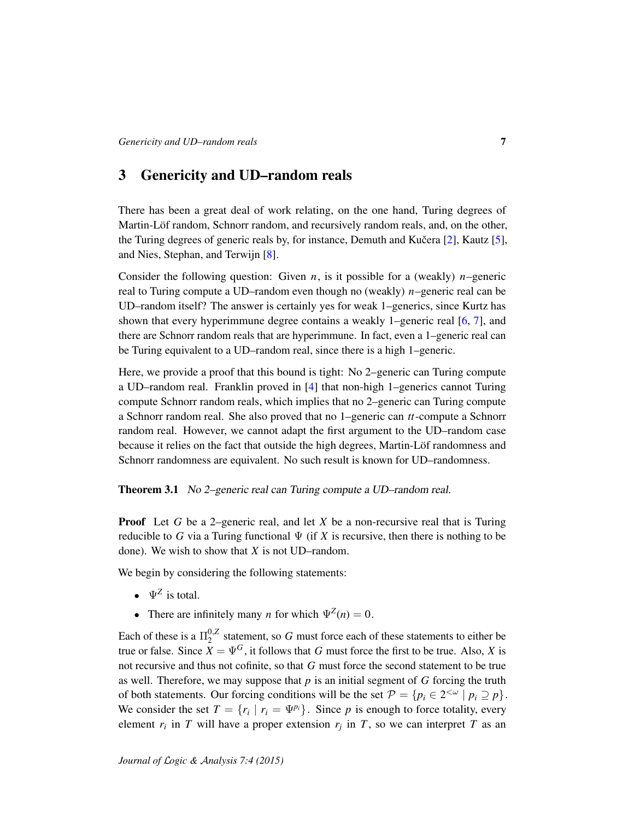# <span id="page-7-0"></span>3 Genericity and UD–random reals

There has been a great deal of work relating, on the one hand, Turing degrees of Martin-Löf random, Schnorr random, and recursively random reals, and, on the other, the Turing degrees of generic reals by, for instance, Demuth and Kučera  $[2]$  $[2]$ , Kautz  $[5]$ , and Nies, Stephan, and Terwijn [\[8\]](#page-10-2).

Consider the following question: Given  $n$ , is it possible for a (weakly)  $n$ –generic real to Turing compute a UD–random even though no (weakly) *n*–generic real can be UD–random itself? The answer is certainly yes for weak 1–generics, since Kurtz has shown that every hyperimmune degree contains a weakly 1–generic real [\[6,](#page-10-1) [7\]](#page-10-7), and there are Schnorr random reals that are hyperimmune. In fact, even a 1–generic real can be Turing equivalent to a UD–random real, since there is a high 1–generic.

Here, we provide a proof that this bound is tight: No 2–generic can Turing compute a UD–random real. Franklin proved in [\[4\]](#page-10-8) that non-high 1–generics cannot Turing compute Schnorr random reals, which implies that no 2–generic can Turing compute a Schnorr random real. She also proved that no 1–generic can *tt*-compute a Schnorr random real. However, we cannot adapt the first argument to the UD–random case because it relies on the fact that outside the high degrees, Martin-Löf randomness and Schnorr randomness are equivalent. No such result is known for UD–randomness.

Theorem 3.1 No 2–generic real can Turing compute a UD–random real.

Proof Let *G* be a 2–generic real, and let *X* be a non-recursive real that is Turing reducible to G via a Turing functional  $\Psi$  (if X is recursive, then there is nothing to be done). We wish to show that *X* is not UD–random.

We begin by considering the following statements:

- $\Psi^Z$  is total.
- There are infinitely many *n* for which  $\Psi^{Z}(n) = 0$ .

Each of these is a  $\Pi_2^{0,Z}$  $2<sup>0,2</sup>$  statement, so *G* must force each of these statements to either be true or false. Since  $\overline{X} = \Psi^G$ , it follows that *G* must force the first to be true. Also, *X* is not recursive and thus not cofinite, so that *G* must force the second statement to be true as well. Therefore, we may suppose that *p* is an initial segment of *G* forcing the truth of both statements. Our forcing conditions will be the set  $\mathcal{P} = \{p_i \in 2^{\langle \omega |} | p_i \supseteq p\}.$ We consider the set  $T = \{r_i \mid r_i = \Psi^{p_i}\}\$ . Since *p* is enough to force totality, every element  $r_i$  in *T* will have a proper extension  $r_j$  in *T*, so we can interpret *T* as an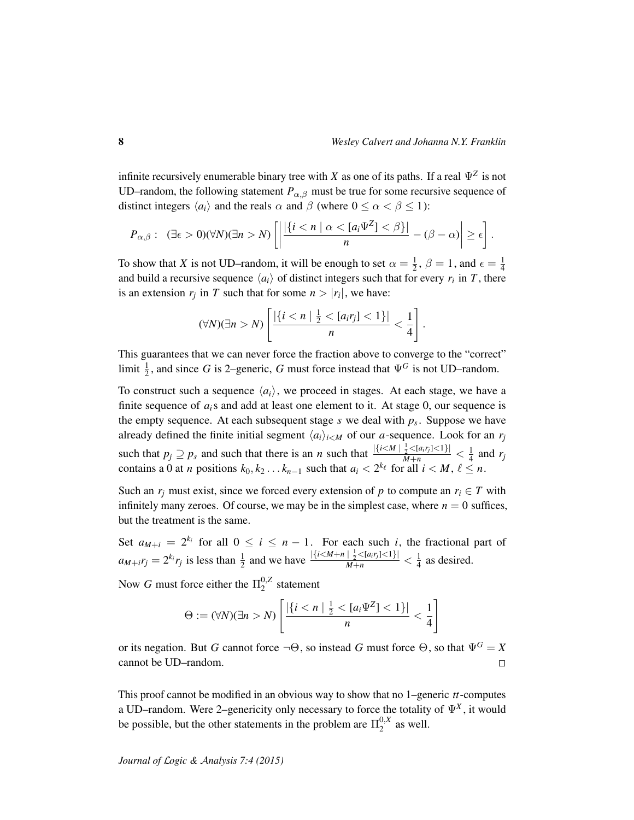infinite recursively enumerable binary tree with *X* as one of its paths. If a real  $\Psi^Z$  is not UD–random, the following statement  $P_{\alpha,\beta}$  must be true for some recursive sequence of distinct integers  $\langle a_i \rangle$  and the reals  $\alpha$  and  $\beta$  (where  $0 \leq \alpha < \beta \leq 1$ ):

$$
P_{\alpha,\beta}:\ \ (\exists \epsilon > 0)(\forall N)(\exists n > N)\left[\left|\frac{|\{i < n \mid \alpha < [a_{i}\Psi^{Z}] < \beta\}|}{n} - (\beta - \alpha)\right| \geq \epsilon\right].
$$

To show that *X* is not UD–random, it will be enough to set  $\alpha = \frac{1}{2}$  $\frac{1}{2}$ ,  $\beta = 1$ , and  $\epsilon = \frac{1}{4}$ 4 and build a recursive sequence  $\langle a_i \rangle$  of distinct integers such that for every  $r_i$  in T, there is an extension  $r_j$  in *T* such that for some  $n > |r_i|$ , we have:

$$
(\forall N)(\exists n > N)\left[\frac{|\{i < n \mid \frac{1}{2} < [a_ir_j] < 1\}|}{n} < \frac{1}{4}\right].
$$

This guarantees that we can never force the fraction above to converge to the "correct" limit  $\frac{1}{2}$ , and since *G* is 2–generic, *G* must force instead that  $\Psi$ <sup>*G*</sup> is not UD–random.

To construct such a sequence  $\langle a_i \rangle$ , we proceed in stages. At each stage, we have a finite sequence of *ai*s and add at least one element to it. At stage 0, our sequence is the empty sequence. At each subsequent stage *s* we deal with *p<sup>s</sup>* . Suppose we have already defined the finite initial segment  $\langle a_i \rangle_{i \leq M}$  of our *a*-sequence. Look for an  $r_j$ such that  $p_j \supseteq p_s$  and such that there is an *n* such that  $\frac{|\{i \le M \mid \frac{1}{2} \le [a_ir_j] \le 1\}|}{M+n} < \frac{1}{4}$  $rac{1}{4}$  and  $r_j$ contains a 0 at *n* positions  $k_0, k_2 \ldots k_{n-1}$  such that  $a_i < 2^{k_\ell}$  for all  $i < M, \ell \leq n$ .

Such an  $r_i$  must exist, since we forced every extension of p to compute an  $r_i \in T$  with infinitely many zeroes. Of course, we may be in the simplest case, where  $n = 0$  suffices, but the treatment is the same.

Set  $a_{M+i} = 2^{k_i}$  for all  $0 \le i \le n-1$ . For each such *i*, the fractional part of  $a_{M+i}r_j = 2^{k_i}r_j$  is less than  $\frac{1}{2}$  and we have  $\frac{|\{i \le M+n \mid \frac{1}{2} \le [a_ir_j] \le 1\}|}{M+n} < \frac{1}{4}$  $\frac{1}{4}$  as desired.

Now *G* must force either the  $\Pi_2^{0,Z}$  $2^{0,2}$  statement

$$
\Theta := (\forall N)(\exists n > N)\left[\frac{|\{i < n \mid \frac{1}{2} < [a_i \Psi^Z] < 1\}|}{n} < \frac{1}{4}\right]
$$

or its negation. But *G* cannot force  $\neg \Theta$ , so instead *G* must force  $\Theta$ , so that  $\Psi^G = X$ cannot be UD–random.  $\Box$ 

This proof cannot be modified in an obvious way to show that no 1–generic *tt*-computes a UD–random. Were 2–genericity only necessary to force the totality of  $\Psi^X$ , it would be possible, but the other statements in the problem are  $\Pi_2^{0,x}$  $2^{0,A}$  as well.

*Journal of* L*ogic &* A*nalysis 7:4 (2015)*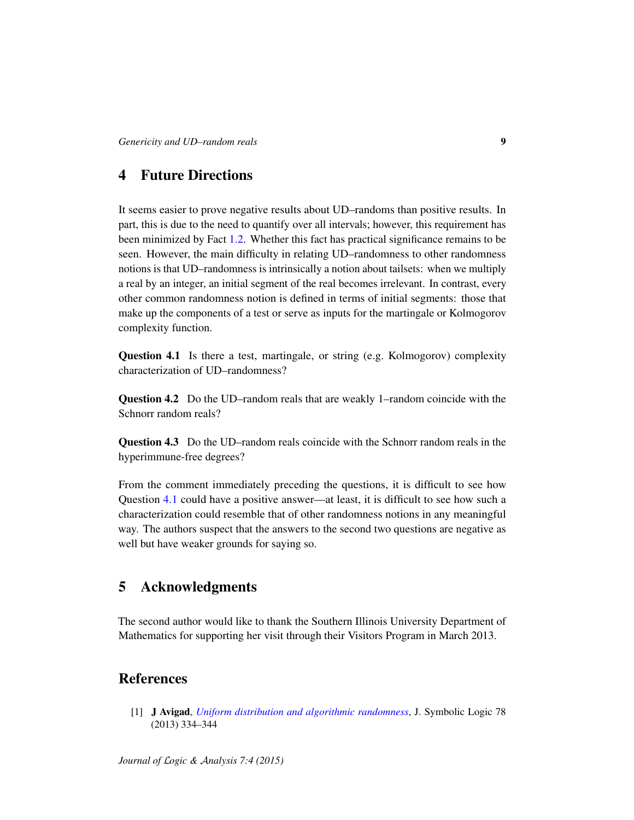# <span id="page-9-1"></span>4 Future Directions

It seems easier to prove negative results about UD–randoms than positive results. In part, this is due to the need to quantify over all intervals; however, this requirement has been minimized by Fact [1.2.](#page-2-0) Whether this fact has practical significance remains to be seen. However, the main difficulty in relating UD–randomness to other randomness notions is that UD–randomness is intrinsically a notion about tailsets: when we multiply a real by an integer, an initial segment of the real becomes irrelevant. In contrast, every other common randomness notion is defined in terms of initial segments: those that make up the components of a test or serve as inputs for the martingale or Kolmogorov complexity function.

<span id="page-9-2"></span>Question 4.1 Is there a test, martingale, or string (e.g. Kolmogorov) complexity characterization of UD–randomness?

Question 4.2 Do the UD–random reals that are weakly 1–random coincide with the Schnorr random reals?

Question 4.3 Do the UD–random reals coincide with the Schnorr random reals in the hyperimmune-free degrees?

From the comment immediately preceding the questions, it is difficult to see how Question [4.1](#page-9-2) could have a positive answer—at least, it is difficult to see how such a characterization could resemble that of other randomness notions in any meaningful way. The authors suspect that the answers to the second two questions are negative as well but have weaker grounds for saying so.

# 5 Acknowledgments

The second author would like to thank the Southern Illinois University Department of Mathematics for supporting her visit through their Visitors Program in March 2013.

# **References**

<span id="page-9-0"></span>[1] J Avigad, *[Uniform distribution and algorithmic randomness](http://dx.doi.org/10.2178/jsl.7801230)*, J. Symbolic Logic 78 (2013) 334–344